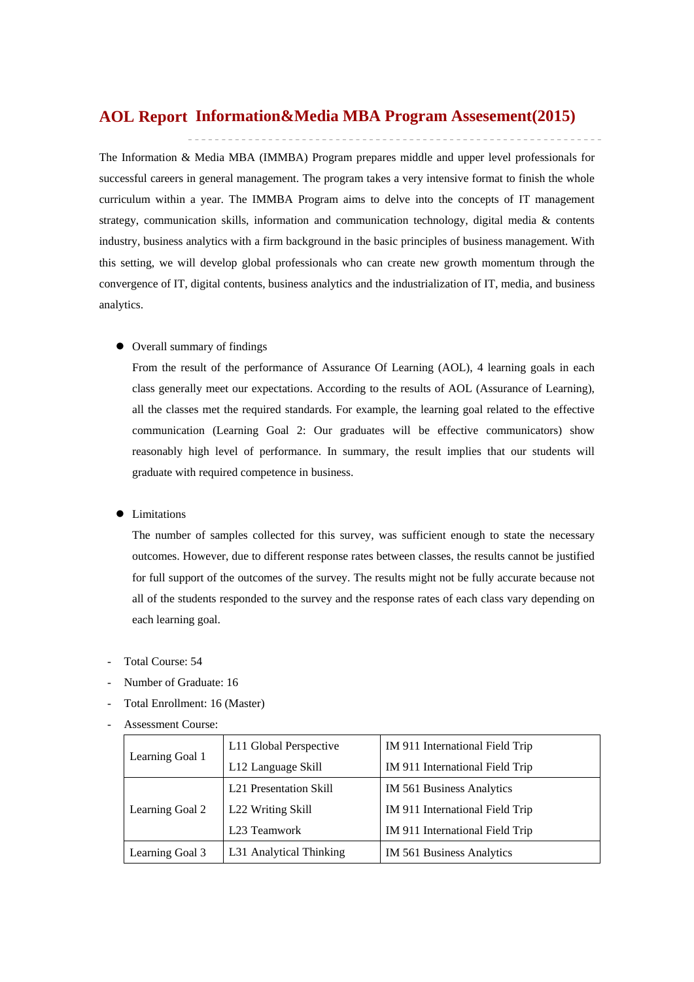# **Information&Media MBA Program Assesement(2015) AOL Report**

The Information & Media MBA (IMMBA) Program prepares middle and upper level professionals for successful careers in general management. The program takes a very intensive format to finish the whole curriculum within a year. The IMMBA Program aims to delve into the concepts of IT management strategy, communication skills, information and communication technology, digital media & contents industry, business analytics with a firm background in the basic principles of business management. With this setting, we will develop global professionals who can create new growth momentum through the convergence of IT, digital contents, business analytics and the industrialization of IT, media, and business analytics.

### • Overall summary of findings

From the result of the performance of Assurance Of Learning (AOL), 4 learning goals in each class generally meet our expectations. According to the results of AOL (Assurance of Learning), all the classes met the required standards. For example, the learning goal related to the effective communication (Learning Goal 2: Our graduates will be effective communicators) show reasonably high level of performance. In summary, the result implies that our students will graduate with required competence in business.

#### Limitations

The number of samples collected for this survey, was sufficient enough to state the necessary outcomes. However, due to different response rates between classes, the results cannot be justified for full support of the outcomes of the survey. The results might not be fully accurate because not all of the students responded to the survey and the response rates of each class vary depending on each learning goal.

- Total Course: 54
- Number of Graduate: 16
- Total Enrollment: 16 (Master)
- Assessment Course:

| Learning Goal 1 | L11 Global Perspective        | IM 911 International Field Trip |  |
|-----------------|-------------------------------|---------------------------------|--|
|                 | L12 Language Skill            | IM 911 International Field Trip |  |
|                 | <b>L21 Presentation Skill</b> | IM 561 Business Analytics       |  |
| Learning Goal 2 | L22 Writing Skill             | IM 911 International Field Trip |  |
|                 | L23 Teamwork                  | IM 911 International Field Trip |  |
| Learning Goal 3 | L31 Analytical Thinking       | IM 561 Business Analytics       |  |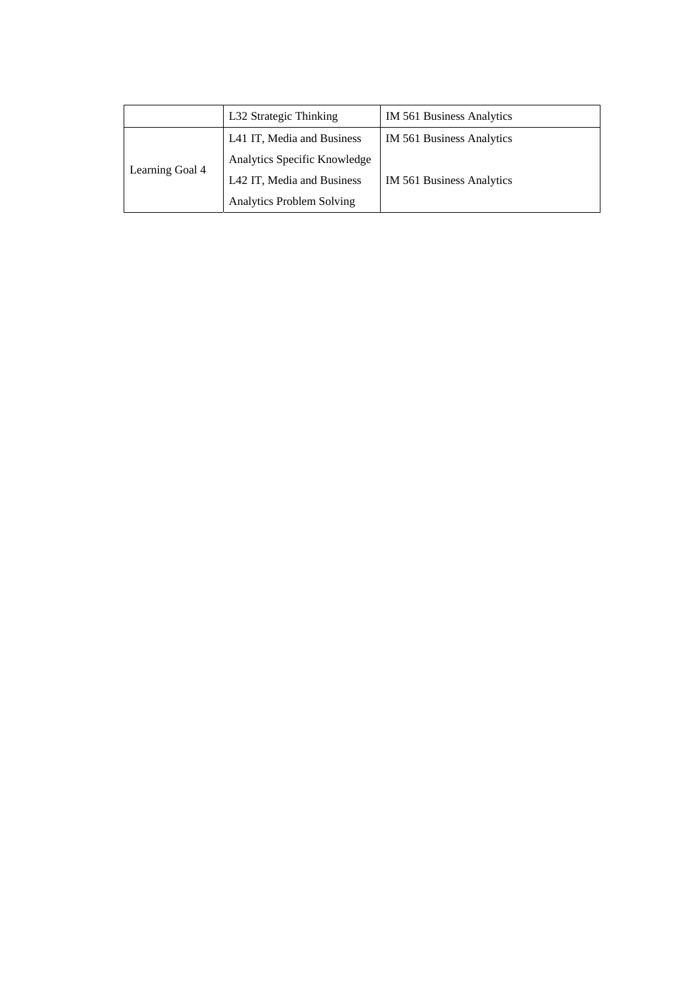|                 | L32 Strategic Thinking           | IM 561 Business Analytics |  |
|-----------------|----------------------------------|---------------------------|--|
| Learning Goal 4 | L41 IT, Media and Business       | IM 561 Business Analytics |  |
|                 | Analytics Specific Knowledge     |                           |  |
|                 | L42 IT, Media and Business       | IM 561 Business Analytics |  |
|                 | <b>Analytics Problem Solving</b> |                           |  |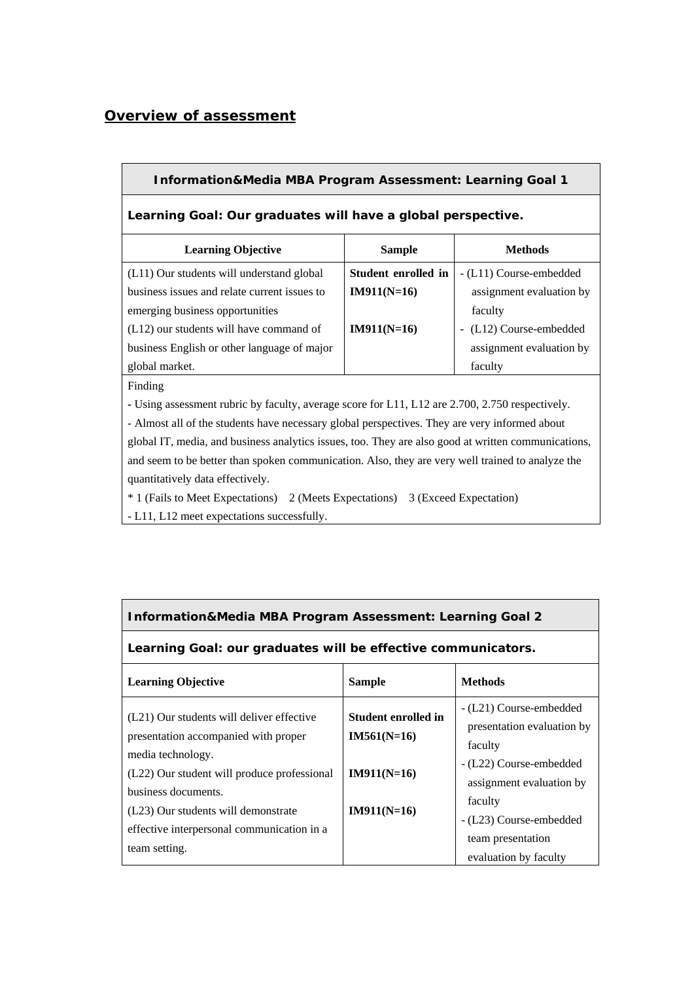# *Overview of assessment*

## **Information&Media MBA Program Assessment: Learning Goal 1**

### **Learning Goal: Our graduates will have a global perspective.**

| <b>Learning Objective</b>                    | <b>Sample</b>       | <b>Methods</b>                                    |
|----------------------------------------------|---------------------|---------------------------------------------------|
| (L11) Our students will understand global    | Student enrolled in | - (L11) Course-embedded                           |
| business issues and relate current issues to | $IM911(N=16)$       | assignment evaluation by                          |
| emerging business opportunities              |                     | faculty                                           |
| (L12) our students will have command of      | $IM911(N=16)$       | (L12) Course-embedded<br>$\overline{\phantom{0}}$ |
| business English or other language of major  |                     | assignment evaluation by                          |
| global market.                               |                     | faculty                                           |
| $\mathbf{r}$<br>.                            |                     |                                                   |

Finding

**-** Using assessment rubric by faculty, average score for L11, L12 are 2.700, 2.750 respectively.

- Almost all of the students have necessary global perspectives. They are very informed about

global IT, media, and business analytics issues, too. They are also good at written communications, and seem to be better than spoken communication. Also, they are very well trained to analyze the quantitatively data effectively.

\* 1 (Fails to Meet Expectations) 2 (Meets Expectations) 3 (Exceed Expectation)

- L11, L12 meet expectations successfully.

# **Information&Media MBA Program Assessment: Learning Goal 2**

### **Learning Goal: our graduates will be effective communicators.**

| <b>Learning Objective</b>                                                                                                                                                                                                                                                          | <b>Sample</b>                                                                 | <b>Methods</b>                                                                                                                                                                                              |
|------------------------------------------------------------------------------------------------------------------------------------------------------------------------------------------------------------------------------------------------------------------------------------|-------------------------------------------------------------------------------|-------------------------------------------------------------------------------------------------------------------------------------------------------------------------------------------------------------|
| (L21) Our students will deliver effective<br>presentation accompanied with proper<br>media technology.<br>(L22) Our student will produce professional<br>business documents.<br>(L23) Our students will demonstrate<br>effective interpersonal communication in a<br>team setting. | <b>Student enrolled in</b><br>$IM561(N=16)$<br>$IM911(N=16)$<br>$IM911(N=16)$ | - (L21) Course-embedded<br>presentation evaluation by<br>faculty<br>- (L22) Course-embedded<br>assignment evaluation by<br>faculty<br>- (L23) Course-embedded<br>team presentation<br>evaluation by faculty |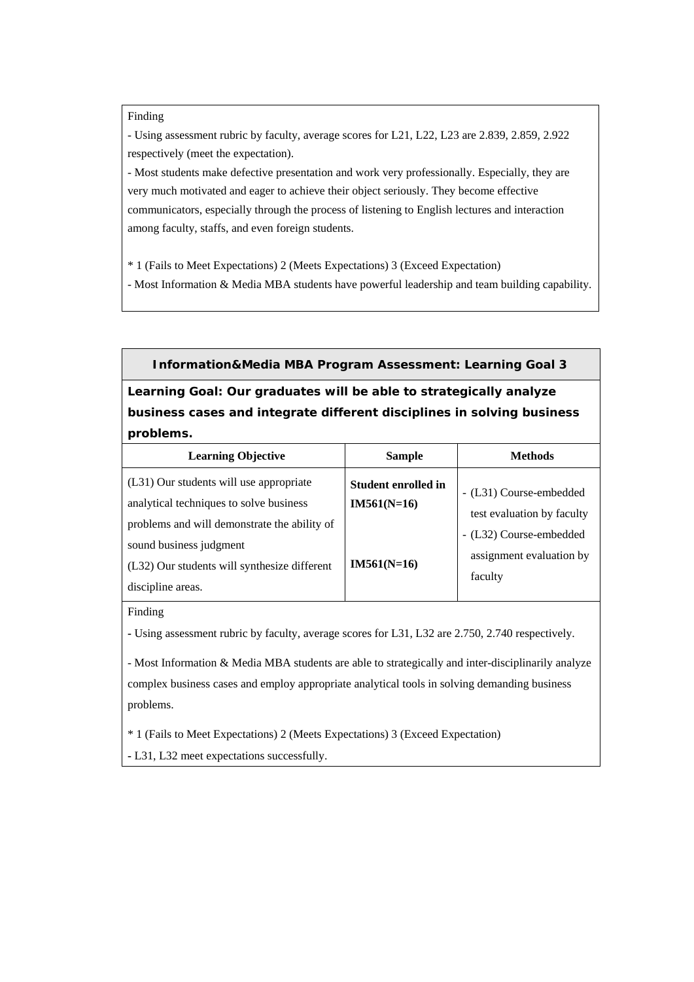### Finding

- Using assessment rubric by faculty, average scores for L21, L22, L23 are 2.839, 2.859, 2.922 respectively (meet the expectation).

- Most students make defective presentation and work very professionally. Especially, they are very much motivated and eager to achieve their object seriously. They become effective communicators, especially through the process of listening to English lectures and interaction among faculty, staffs, and even foreign students.

\* 1 (Fails to Meet Expectations) 2 (Meets Expectations) 3 (Exceed Expectation)

- Most Information & Media MBA students have powerful leadership and team building capability.

### **Information&Media MBA Program Assessment: Learning Goal 3**

**Learning Goal: Our graduates will be able to strategically analyze business cases and integrate different disciplines in solving business problems.**

| <b>Learning Objective</b>                                                                                                                                                                                                          | <b>Sample</b>                                                | <b>Methods</b>                                                                                                          |
|------------------------------------------------------------------------------------------------------------------------------------------------------------------------------------------------------------------------------------|--------------------------------------------------------------|-------------------------------------------------------------------------------------------------------------------------|
| (L31) Our students will use appropriate<br>analytical techniques to solve business<br>problems and will demonstrate the ability of<br>sound business judgment<br>(L32) Our students will synthesize different<br>discipline areas. | <b>Student enrolled in</b><br>$IM561(N=16)$<br>$IM561(N=16)$ | - (L31) Course-embedded<br>test evaluation by faculty<br>- (L32) Course-embedded<br>assignment evaluation by<br>faculty |

Finding

**-** Using assessment rubric by faculty, average scores for L31, L32 are 2.750, 2.740 respectively.

- Most Information & Media MBA students are able to strategically and inter-disciplinarily analyze complex business cases and employ appropriate analytical tools in solving demanding business problems.

\* 1 (Fails to Meet Expectations) 2 (Meets Expectations) 3 (Exceed Expectation)

**-** L31, L32 meet expectations successfully.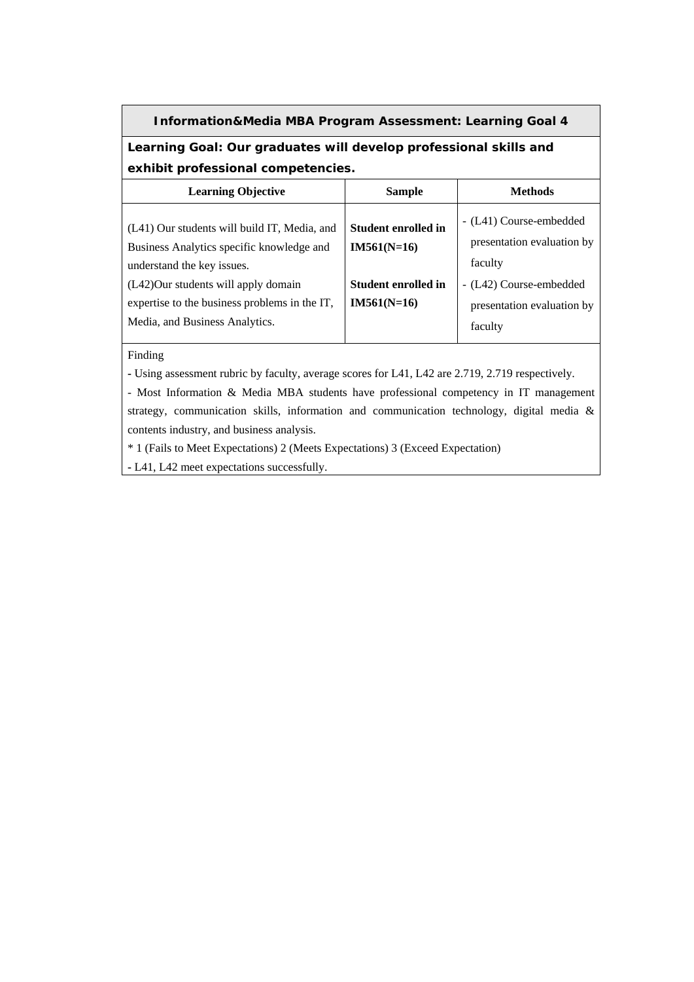## **Information&Media MBA Program Assessment: Learning Goal 4**

**Learning Goal: Our graduates will develop professional skills and exhibit professional competencies.** 

| <b>Learning Objective</b>                                                                                               | <b>Sample</b>                               | <b>Methods</b>                                                   |
|-------------------------------------------------------------------------------------------------------------------------|---------------------------------------------|------------------------------------------------------------------|
| (L41) Our students will build IT, Media, and<br>Business Analytics specific knowledge and<br>understand the key issues. | <b>Student enrolled in</b><br>$IM561(N=16)$ | - (L41) Course-embedded<br>presentation evaluation by<br>faculty |
| (L42) Our students will apply domain                                                                                    | <b>Student enrolled in</b>                  | - (L42) Course-embedded                                          |
| expertise to the business problems in the IT,<br>Media, and Business Analytics.                                         | $IM561(N=16)$                               | presentation evaluation by<br>faculty                            |

Finding

**-** Using assessment rubric by faculty, average scores for L41, L42 are 2.719, 2.719 respectively.

- Most Information & Media MBA students have professional competency in IT management strategy, communication skills, information and communication technology, digital media & contents industry, and business analysis.

\* 1 (Fails to Meet Expectations) 2 (Meets Expectations) 3 (Exceed Expectation)

**-** L41, L42 meet expectations successfully.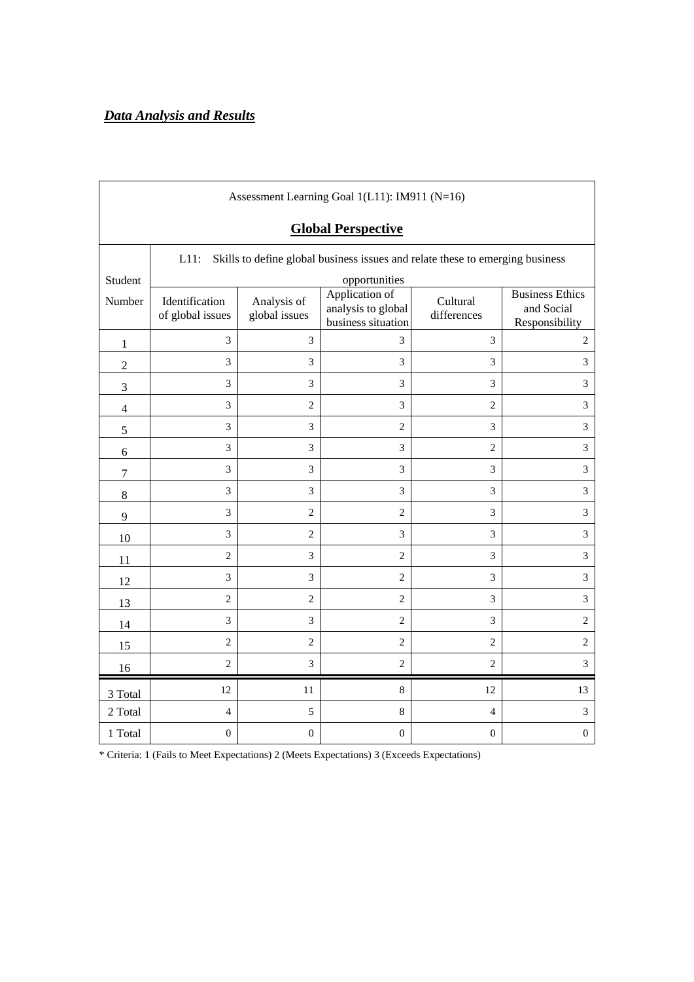| Assessment Learning Goal 1(L11): IM911 (N=16) |                                                                                                                                                                           |                  |                                                                               |                  |                        |  |  |  |
|-----------------------------------------------|---------------------------------------------------------------------------------------------------------------------------------------------------------------------------|------------------|-------------------------------------------------------------------------------|------------------|------------------------|--|--|--|
|                                               | <b>Global Perspective</b>                                                                                                                                                 |                  |                                                                               |                  |                        |  |  |  |
|                                               | $L11$ :                                                                                                                                                                   |                  | Skills to define global business issues and relate these to emerging business |                  |                        |  |  |  |
| Student                                       |                                                                                                                                                                           |                  | opportunities<br>Application of                                               |                  | <b>Business Ethics</b> |  |  |  |
| Number                                        | Identification<br>Analysis of<br>Cultural<br>and Social<br>analysis to global<br>global issues<br>differences<br>of global issues<br>business situation<br>Responsibility |                  |                                                                               |                  |                        |  |  |  |
| 1                                             | $\mathfrak{Z}$                                                                                                                                                            | 3                | 3                                                                             | 3                | $\overline{c}$         |  |  |  |
| $\overline{2}$                                | 3                                                                                                                                                                         | 3                | 3                                                                             | $\overline{3}$   | $\overline{3}$         |  |  |  |
| $\mathfrak{Z}$                                | 3                                                                                                                                                                         | 3                | 3                                                                             | 3                | 3                      |  |  |  |
| $\overline{4}$                                | 3                                                                                                                                                                         | $\overline{c}$   | 3                                                                             | $\overline{2}$   | 3                      |  |  |  |
| 5                                             | $\mathfrak{Z}$                                                                                                                                                            | 3                | $\mathfrak{2}$                                                                | 3                | 3                      |  |  |  |
| 6                                             | 3                                                                                                                                                                         | 3                | 3                                                                             | $\overline{c}$   | 3                      |  |  |  |
| $\overline{7}$                                | 3                                                                                                                                                                         | 3                | 3                                                                             | 3                | 3                      |  |  |  |
| $8\,$                                         | 3                                                                                                                                                                         | 3                | 3                                                                             | 3                | 3                      |  |  |  |
| $\overline{9}$                                | 3                                                                                                                                                                         | $\overline{c}$   | $\overline{c}$                                                                | 3                | 3                      |  |  |  |
| 10                                            | 3                                                                                                                                                                         | $\overline{c}$   | 3                                                                             | 3                | $\overline{3}$         |  |  |  |
| 11                                            | $\overline{c}$                                                                                                                                                            | 3                | $\sqrt{2}$                                                                    | 3                | $\overline{3}$         |  |  |  |
| 12                                            | 3                                                                                                                                                                         | 3                | $\overline{c}$                                                                | 3                | 3                      |  |  |  |
| 13                                            | $\overline{c}$                                                                                                                                                            | 2                | $\overline{2}$                                                                | $\overline{3}$   | $\overline{3}$         |  |  |  |
| 14                                            | $\mathfrak{Z}$                                                                                                                                                            | 3                | $\overline{c}$                                                                | $\mathfrak{Z}$   | $\overline{c}$         |  |  |  |
| 15                                            | $\overline{2}$                                                                                                                                                            | $\overline{c}$   | $\overline{c}$                                                                | $\overline{2}$   | $\sqrt{2}$             |  |  |  |
| 16                                            | $\overline{2}$                                                                                                                                                            | 3                | $\overline{c}$                                                                | $\overline{2}$   | 3                      |  |  |  |
| 3 Total                                       | 12                                                                                                                                                                        | 11               | $\,8\,$                                                                       | 12               | 13                     |  |  |  |
| 2 Total                                       | $\overline{4}$                                                                                                                                                            | 5                | $\,$ 8 $\,$                                                                   | $\overline{4}$   | $\overline{3}$         |  |  |  |
| 1 Total                                       | $\boldsymbol{0}$                                                                                                                                                          | $\boldsymbol{0}$ | $\boldsymbol{0}$                                                              | $\boldsymbol{0}$ | $\boldsymbol{0}$       |  |  |  |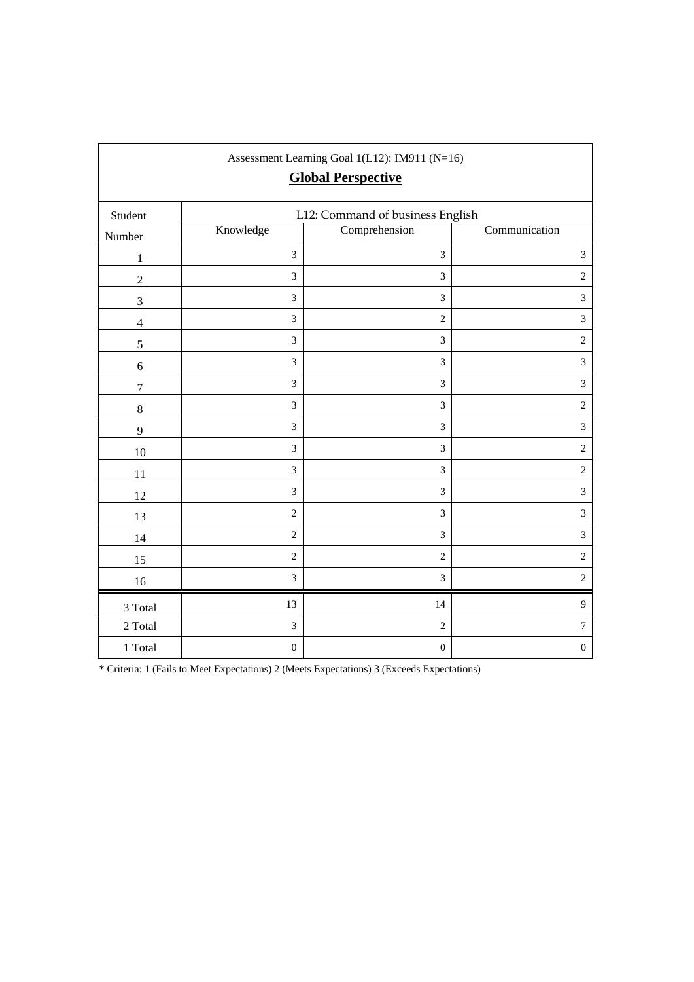| Assessment Learning Goal 1(L12): IM911 (N=16)<br><b>Global Perspective</b> |                             |                                  |                             |  |  |  |  |  |
|----------------------------------------------------------------------------|-----------------------------|----------------------------------|-----------------------------|--|--|--|--|--|
| Student                                                                    |                             | L12: Command of business English |                             |  |  |  |  |  |
| Number                                                                     | Knowledge                   | Comprehension                    | Communication               |  |  |  |  |  |
| $\,1$                                                                      | $\ensuremath{\mathfrak{Z}}$ | $\ensuremath{\mathfrak{Z}}$      | $\ensuremath{\mathfrak{Z}}$ |  |  |  |  |  |
| $\overline{c}$                                                             | $\mathfrak{Z}$              | $\mathfrak{Z}$                   | $\sqrt{2}$                  |  |  |  |  |  |
| 3                                                                          | $\mathfrak{Z}$              | $\mathfrak{Z}$                   | $\mathfrak{Z}$              |  |  |  |  |  |
| $\overline{4}$                                                             | $\mathfrak{Z}$              | $\overline{2}$                   | $\mathfrak{Z}$              |  |  |  |  |  |
| $\sqrt{5}$                                                                 | 3                           | 3                                | $\sqrt{2}$                  |  |  |  |  |  |
| $\sqrt{6}$                                                                 | $\mathfrak{Z}$              | $\mathfrak{Z}$                   | $\mathfrak 3$               |  |  |  |  |  |
| $\tau$                                                                     | 3                           | $\overline{3}$                   | $\mathfrak{Z}$              |  |  |  |  |  |
| $\,8\,$                                                                    | $\overline{3}$              | $\overline{3}$                   | $\sqrt{2}$                  |  |  |  |  |  |
| 9                                                                          | $\mathfrak{Z}$              | $\mathfrak{Z}$                   | $\ensuremath{\mathfrak{Z}}$ |  |  |  |  |  |
| 10                                                                         | $\mathfrak{Z}$              | $\mathfrak{Z}$                   | $\sqrt{2}$                  |  |  |  |  |  |
| 11                                                                         | $\overline{3}$              | 3                                | $\sqrt{2}$                  |  |  |  |  |  |
| 12                                                                         | $\mathfrak{Z}$              | 3                                | $\mathfrak 3$               |  |  |  |  |  |
| 13                                                                         | $\sqrt{2}$                  | $\mathfrak{Z}$                   | $\mathfrak{Z}$              |  |  |  |  |  |
| 14                                                                         | $\sqrt{2}$                  | 3                                | $\mathfrak{Z}$              |  |  |  |  |  |
| 15                                                                         | $\sqrt{2}$                  | $\sqrt{2}$                       | $\sqrt{2}$                  |  |  |  |  |  |
| 16                                                                         | $\mathfrak{Z}$              | 3                                | $\sqrt{2}$                  |  |  |  |  |  |
| 3 Total                                                                    | 13                          | 14                               | $\mathbf{9}$                |  |  |  |  |  |
| 2 Total                                                                    | 3                           | $\mathbf{2}$                     | $\tau$                      |  |  |  |  |  |
| 1 Total                                                                    | $\boldsymbol{0}$            | $\boldsymbol{0}$                 | $\boldsymbol{0}$            |  |  |  |  |  |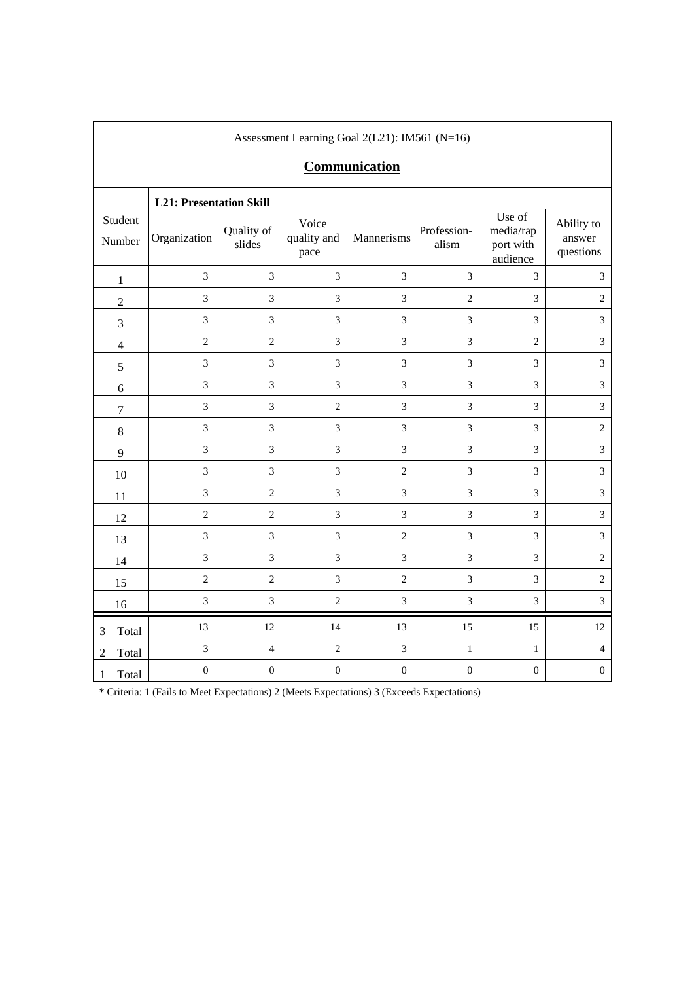| $\frac{1}{2}$<br><b>Communication</b> |                                                |                      |                              |                  |                      |                                              |                                   |
|---------------------------------------|------------------------------------------------|----------------------|------------------------------|------------------|----------------------|----------------------------------------------|-----------------------------------|
| Student<br>Number                     | <b>L21: Presentation Skill</b><br>Organization | Quality of<br>slides | Voice<br>quality and<br>pace | Mannerisms       | Profession-<br>alism | Use of<br>media/rap<br>port with<br>audience | Ability to<br>answer<br>questions |
| $\,1$                                 | 3                                              | 3                    | 3                            | 3                | 3                    | 3                                            | 3                                 |
| $\overline{2}$                        | 3                                              | 3                    | 3                            | 3                | $\sqrt{2}$           | $\overline{3}$                               | $\sqrt{2}$                        |
| $\mathfrak{Z}$                        | 3                                              | $\mathfrak{Z}$       | 3                            | $\mathfrak{Z}$   | 3                    | 3                                            | 3                                 |
| $\overline{4}$                        | $\overline{2}$                                 | $\overline{2}$       | 3                            | $\mathfrak{Z}$   | 3                    | $\overline{2}$                               | 3                                 |
| $\mathfrak s$                         | 3                                              | $\mathfrak{Z}$       | 3                            | 3                | 3                    | $\mathfrak{Z}$                               | 3                                 |
| $\sqrt{6}$                            | 3                                              | $\mathfrak{Z}$       | $\mathfrak{Z}$               | $\mathfrak{Z}$   | $\mathfrak{Z}$       | $\mathfrak 3$                                | 3                                 |
| $\boldsymbol{7}$                      | 3                                              | $\mathfrak{Z}$       | $\overline{c}$               | $\mathfrak{Z}$   | 3                    | 3                                            | 3                                 |
| $\,8\,$                               | 3                                              | 3                    | 3                            | $\mathfrak{Z}$   | $\mathfrak{Z}$       | $\mathfrak{Z}$                               | $\boldsymbol{2}$                  |
| $\mathbf{9}$                          | 3                                              | $\mathfrak{Z}$       | 3                            | $\mathfrak{Z}$   | $\mathfrak{Z}$       | 3                                            | 3                                 |
| 10                                    | 3                                              | $\mathfrak{Z}$       | 3                            | $\overline{2}$   | $\mathfrak{Z}$       | 3                                            | 3                                 |
| 11                                    | 3                                              | $\overline{2}$       | 3                            | $\mathfrak{Z}$   | 3                    | 3                                            | $\overline{3}$                    |
| 12                                    | $\sqrt{2}$                                     | $\overline{2}$       | 3                            | 3                | $\mathfrak{Z}$       | 3                                            | 3                                 |
| 13                                    | 3                                              | 3                    | 3                            | $\overline{2}$   | 3                    | 3                                            | 3                                 |
| 14                                    | 3                                              | $\overline{3}$       | $\overline{3}$               | 3                | 3                    | 3                                            | $\boldsymbol{2}$                  |
| 15                                    | $\overline{c}$                                 | $\overline{2}$       | $\mathfrak{Z}$               | $\overline{2}$   | $\mathfrak{Z}$       | $\mathfrak{Z}$                               | $\sqrt{2}$                        |
| 16                                    | 3                                              | 3                    | $\overline{c}$               | 3                | 3                    | 3                                            | 3                                 |
| Total<br>3                            | 13                                             | 12                   | 14                           | 13               | 15                   | 15                                           | 12                                |
| Total<br>$\overline{2}$               | $\overline{3}$                                 | $\overline{4}$       | $\sqrt{2}$                   | $\mathfrak{Z}$   | $\mathbf{1}$         | $\mathbf{1}$                                 | $\overline{4}$                    |
| Total<br>1                            | $\boldsymbol{0}$                               | $\boldsymbol{0}$     | $\boldsymbol{0}$             | $\boldsymbol{0}$ | $\boldsymbol{0}$     | $\boldsymbol{0}$                             | $\boldsymbol{0}$                  |

Assessment Learning Goal 2(L21): IM561 (N=16)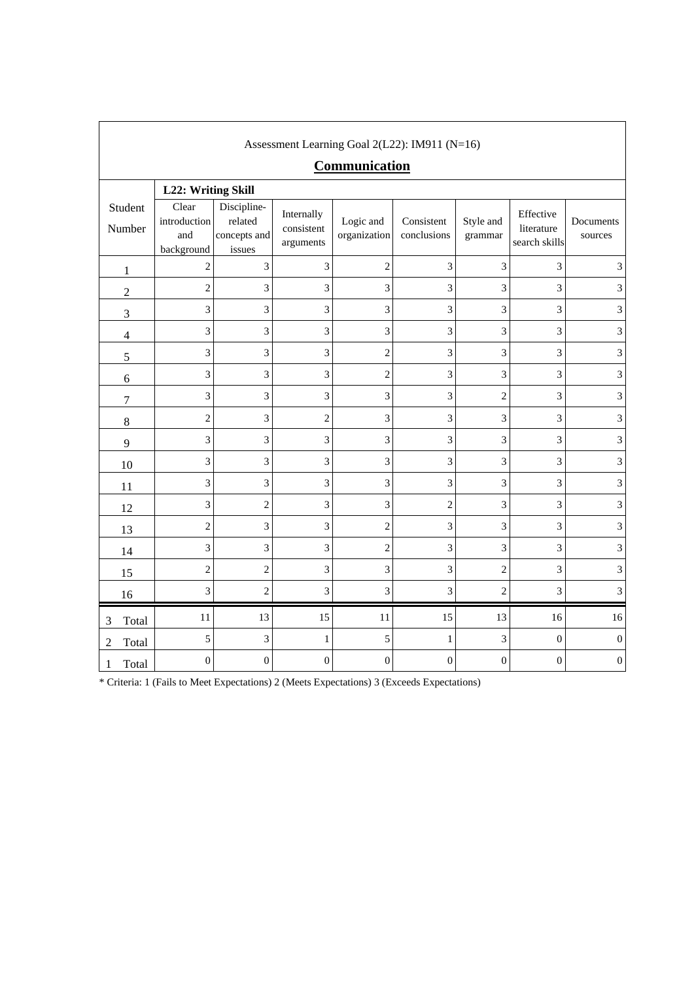| Assessment Learning Goal 2(L22): IM911 (N=16) |                                            |                                                  |                                       |                           |                           |                      |                                          |                      |
|-----------------------------------------------|--------------------------------------------|--------------------------------------------------|---------------------------------------|---------------------------|---------------------------|----------------------|------------------------------------------|----------------------|
|                                               | Communication                              |                                                  |                                       |                           |                           |                      |                                          |                      |
|                                               | L22: Writing Skill                         |                                                  |                                       |                           |                           |                      |                                          |                      |
| Student<br>Number                             | Clear<br>introduction<br>and<br>background | Discipline-<br>related<br>concepts and<br>issues | Internally<br>consistent<br>arguments | Logic and<br>organization | Consistent<br>conclusions | Style and<br>grammar | Effective<br>literature<br>search skills | Documents<br>sources |
| $\mathbf{1}$                                  | $\overline{c}$                             | 3                                                | 3                                     | $\overline{2}$            | 3                         | 3                    | 3                                        | 3                    |
| $\overline{c}$                                | $\overline{c}$                             | 3                                                | 3                                     | 3                         | 3                         | 3                    | $\overline{3}$                           | 3                    |
| 3                                             | 3                                          | 3                                                | 3                                     | 3                         | $\mathfrak{Z}$            | 3                    | 3                                        | $\mathfrak{Z}$       |
| $\overline{\mathcal{A}}$                      | 3                                          | 3                                                | 3                                     | 3                         | 3                         | 3                    | 3                                        | 3                    |
| 5                                             | 3                                          | 3                                                | 3                                     | $\overline{2}$            | 3                         | 3                    | 3                                        | 3                    |
| 6                                             | 3                                          | 3                                                | 3                                     | $\overline{c}$            | 3                         | 3                    | 3                                        | 3                    |
| 7                                             | 3                                          | 3                                                | 3                                     | 3                         | 3                         | $\overline{c}$       | 3                                        | 3                    |
| $\,8\,$                                       | $\overline{c}$                             | 3                                                | $\overline{c}$                        | 3                         | 3                         | $\overline{3}$       | 3                                        | 3                    |
| 9                                             | 3                                          | $\overline{3}$                                   | 3                                     | 3                         | 3                         | 3                    | 3                                        | 3                    |
| 10                                            | 3                                          | 3                                                | 3                                     | 3                         | 3                         | 3                    | 3                                        | 3                    |
| 11                                            | 3                                          | 3                                                | 3                                     | 3                         | 3                         | 3                    | 3                                        | 3                    |
| 12                                            | 3                                          | $\overline{c}$                                   | 3                                     | 3                         | $\overline{c}$            | 3                    | 3                                        | 3                    |
| 13                                            | $\overline{c}$                             | 3                                                | 3                                     | $\overline{c}$            | 3                         | 3                    | 3                                        | 3                    |
| 14                                            | 3                                          | 3                                                | 3                                     | $\overline{c}$            | 3                         | $\overline{3}$       | 3                                        | 3                    |
| 15                                            | $\overline{c}$                             | $\overline{c}$                                   | 3                                     | 3                         | 3                         | $\overline{c}$       | 3                                        | 3                    |
| 16                                            | 3                                          | $\overline{c}$                                   | 3                                     | 3                         | 3                         | $\overline{c}$       | 3                                        | 3                    |
| Total<br>3                                    | 11                                         | 13                                               | 15                                    | 11                        | 15                        | 13                   | 16                                       | 16                   |
| 2<br>Total                                    | 5                                          | 3                                                | $\mathbf{1}$                          | 5                         | $\mathbf{1}$              | 3                    | $\boldsymbol{0}$                         | $\theta$             |
| Total<br>1                                    | $\boldsymbol{0}$                           | $\boldsymbol{0}$                                 | $\boldsymbol{0}$                      | $\boldsymbol{0}$          | $\mathbf{0}$              | $\boldsymbol{0}$     | 0                                        | 0                    |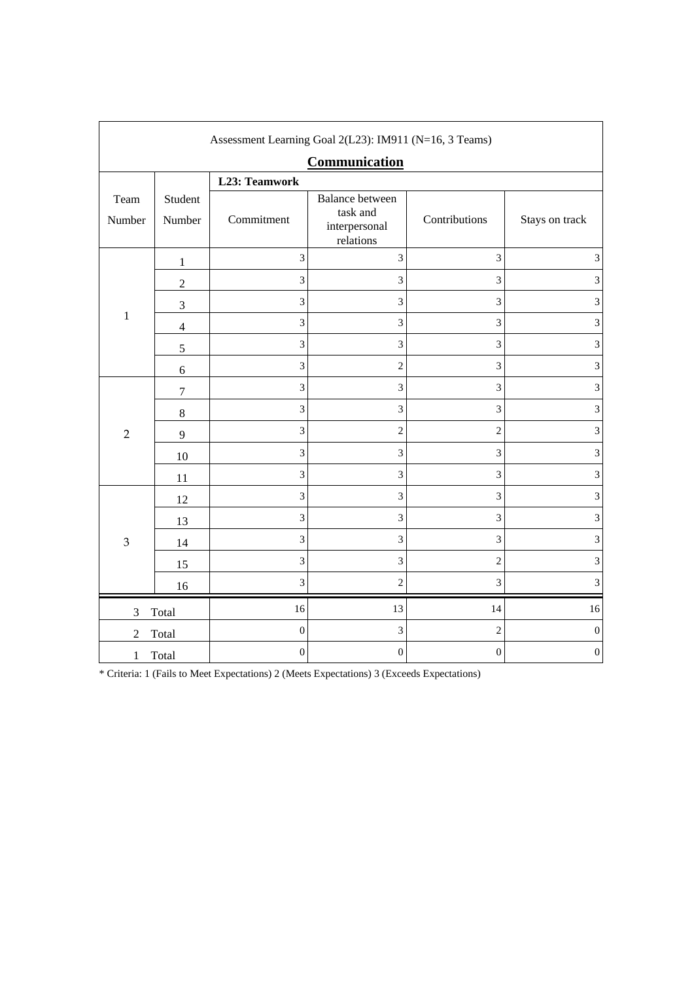| Assessment Learning Goal 2(L23): IM911 (N=16, 3 Teams) |                   |                  |                                                                  |                  |                             |  |  |
|--------------------------------------------------------|-------------------|------------------|------------------------------------------------------------------|------------------|-----------------------------|--|--|
| Communication                                          |                   |                  |                                                                  |                  |                             |  |  |
|                                                        |                   | L23: Teamwork    |                                                                  |                  |                             |  |  |
| Team<br>Number                                         | Student<br>Number | Commitment       | <b>Balance between</b><br>task and<br>interpersonal<br>relations | Contributions    | Stays on track              |  |  |
|                                                        | $\mathbf{1}$      | 3                | $\mathfrak{Z}$                                                   | 3                | $\ensuremath{\mathfrak{Z}}$ |  |  |
|                                                        | $\sqrt{2}$        | $\overline{3}$   | 3                                                                | 3                | $\ensuremath{\mathfrak{Z}}$ |  |  |
|                                                        | $\mathfrak{Z}$    | 3                | 3                                                                | 3                | 3                           |  |  |
| $\mathbf{1}$                                           | $\overline{4}$    | 3                | 3                                                                | 3                | $\overline{3}$              |  |  |
|                                                        | 5                 | 3                | 3                                                                | 3                | $\sqrt{3}$                  |  |  |
|                                                        | 6                 | $\overline{3}$   | $\overline{c}$                                                   | 3                | $\sqrt{3}$                  |  |  |
|                                                        | $\boldsymbol{7}$  | 3                | 3                                                                | 3                | 3                           |  |  |
|                                                        | $8\,$             | $\overline{3}$   | 3                                                                | 3                | $\mathfrak 3$               |  |  |
| $\overline{2}$                                         | 9                 | 3                | $\overline{c}$                                                   | $\overline{c}$   | $\mathfrak{Z}$              |  |  |
|                                                        | 10                | 3                | 3                                                                | 3                | 3                           |  |  |
|                                                        | 11                | 3                | 3                                                                | 3                | 3                           |  |  |
|                                                        | 12                | 3                | 3                                                                | 3                | 3                           |  |  |
|                                                        | 13                | 3                | 3                                                                | 3                | 3                           |  |  |
| 3                                                      | 14                | $\overline{3}$   | 3                                                                | 3                | 3                           |  |  |
|                                                        | 15                | 3                | 3                                                                | $\overline{2}$   | $\sqrt{3}$                  |  |  |
|                                                        | 16                | $\overline{3}$   | $\overline{c}$                                                   | 3                | 3                           |  |  |
| $\mathfrak{Z}$                                         | Total             | 16               | 13                                                               | 14               | 16                          |  |  |
| $\overline{2}$                                         | Total             | $\boldsymbol{0}$ | $\mathfrak{Z}$                                                   | $\overline{c}$   | $\boldsymbol{0}$            |  |  |
| 1                                                      | Total             | $\boldsymbol{0}$ | $\boldsymbol{0}$                                                 | $\boldsymbol{0}$ | $\boldsymbol{0}$            |  |  |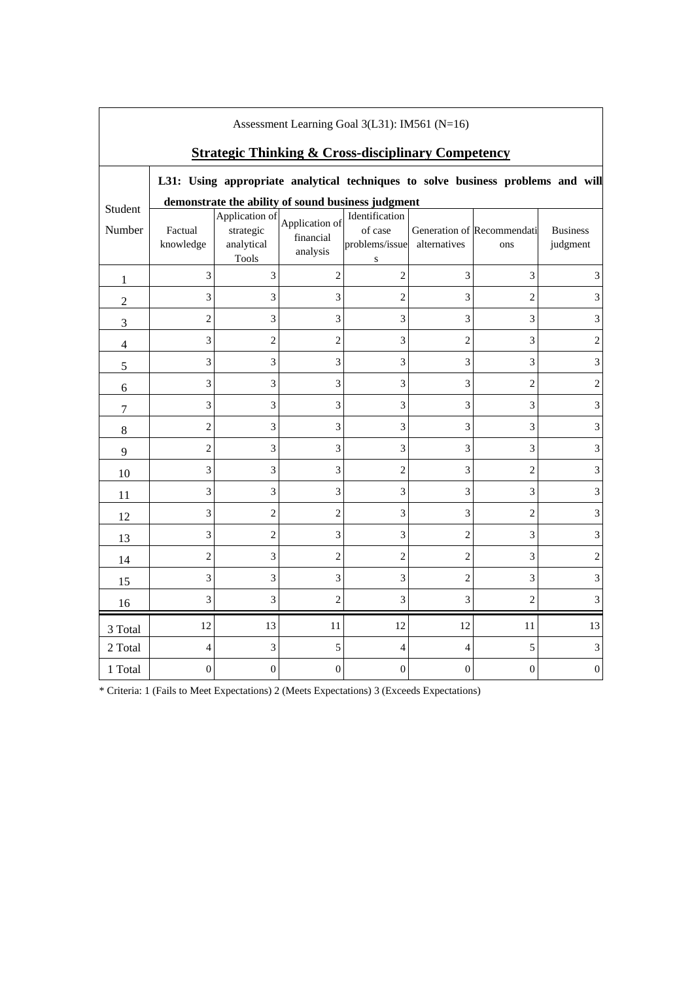|                          | Assessment Learning Goal 3(L31): IM561 (N=16)                 |                                                                                  |                                         |                                                  |                |                                   |                             |  |
|--------------------------|---------------------------------------------------------------|----------------------------------------------------------------------------------|-----------------------------------------|--------------------------------------------------|----------------|-----------------------------------|-----------------------------|--|
|                          | <b>Strategic Thinking &amp; Cross-disciplinary Competency</b> |                                                                                  |                                         |                                                  |                |                                   |                             |  |
|                          |                                                               | L31: Using appropriate analytical techniques to solve business problems and will |                                         |                                                  |                |                                   |                             |  |
| Student                  |                                                               | demonstrate the ability of sound business judgment                               |                                         |                                                  |                |                                   |                             |  |
| Number                   | Factual<br>knowledge                                          | Application of<br>strategic<br>analytical<br><b>Tools</b>                        | Application of<br>financial<br>analysis | Identification<br>of case<br>problems/issue<br>S | alternatives   | Generation of Recommendati<br>ons | <b>Business</b><br>judgment |  |
| $\mathbf{1}$             | 3                                                             | 3                                                                                | $\overline{c}$                          | $\overline{2}$                                   | 3              | 3                                 | 3                           |  |
| $\overline{2}$           | $\mathfrak{Z}$                                                | 3                                                                                | 3                                       | $\overline{c}$                                   | 3              | $\mathbf{2}$                      | 3                           |  |
| 3                        | $\overline{c}$                                                | 3                                                                                | 3                                       | 3                                                | 3              | 3                                 |                             |  |
| $\overline{\mathcal{L}}$ | 3                                                             | $\overline{c}$                                                                   | $\overline{2}$                          | 3                                                | $\overline{c}$ | 3                                 | 2                           |  |
| 5                        | 3                                                             | 3                                                                                | 3                                       | 3                                                | 3              | 3                                 | 3                           |  |
| 6                        | 3                                                             | 3                                                                                | 3                                       | 3                                                | 3              | $\mathbf{2}$                      | $\overline{c}$              |  |
| $\tau$                   | 3                                                             | 3                                                                                | 3                                       | 3                                                | 3              | 3                                 | 3                           |  |
| 8                        | $\overline{2}$                                                | 3                                                                                | 3                                       | 3                                                | 3              | 3                                 | 3                           |  |
| 9                        | $\overline{c}$                                                | 3                                                                                | 3                                       | 3                                                | $\mathfrak{Z}$ | 3                                 | $\mathfrak{Z}$              |  |
| 10                       | 3                                                             | 3                                                                                | 3                                       | $\overline{2}$                                   | 3              | $\overline{2}$                    | 3                           |  |
| 11                       | 3                                                             | 3                                                                                | 3                                       | 3                                                | 3              | 3                                 | 3                           |  |
| 12                       | 3                                                             | $\overline{2}$                                                                   | $\overline{2}$                          | 3                                                | 3              | $\overline{2}$                    | 3                           |  |
| 13                       | 3                                                             | $\overline{c}$                                                                   | 3                                       | 3                                                | $\overline{c}$ | 3                                 | 3                           |  |
| 14                       | $\overline{c}$                                                | 3                                                                                | $\overline{c}$                          | $\overline{c}$                                   | $\overline{c}$ | 3                                 | 2                           |  |
| 15                       | 3                                                             | 3                                                                                | 3                                       | 3                                                | $\overline{c}$ | 3                                 | 3                           |  |
| 16                       | 3                                                             | 3                                                                                | $\overline{c}$                          | 3                                                | 3              | $\overline{c}$                    | 3                           |  |
| 3 Total                  | 12                                                            | 13                                                                               | 11                                      | 12                                               | 12             | 11                                | 13                          |  |
| 2 Total                  | $\overline{4}$                                                | 3                                                                                | 5                                       | $\overline{4}$                                   | $\overline{4}$ | 5                                 | 3                           |  |
| 1 Total                  | $\mathbf{0}$                                                  | $\overline{0}$                                                                   | $\overline{0}$                          | $\theta$                                         | $\mathbf{0}$   | $\theta$                          | $\mathbf{0}$                |  |

 $\overline{\phantom{a}}$ 

\* Criteria: 1 (Fails to Meet Expectations) 2 (Meets Expectations) 3 (Exceeds Expectations)

 $\Gamma$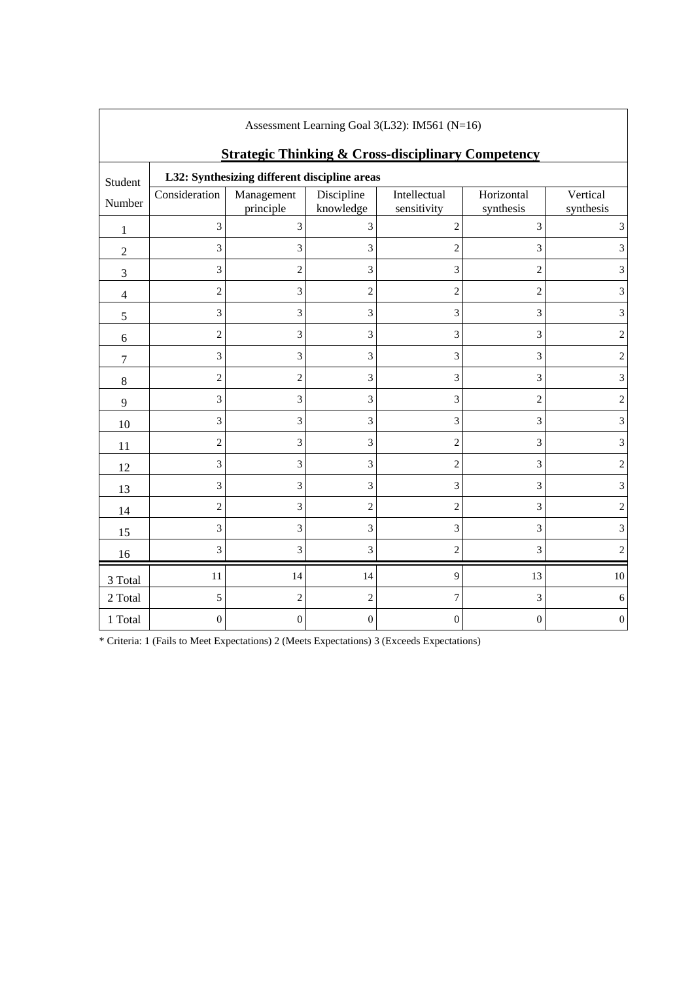| Assessment Learning Goal 3(L32): IM561 (N=16)<br><b>Strategic Thinking &amp; Cross-disciplinary Competency</b> |                                              |                         |                         |                             |                             |                       |  |  |
|----------------------------------------------------------------------------------------------------------------|----------------------------------------------|-------------------------|-------------------------|-----------------------------|-----------------------------|-----------------------|--|--|
| Student                                                                                                        | L32: Synthesizing different discipline areas |                         |                         |                             |                             |                       |  |  |
| Number                                                                                                         | Consideration                                | Management<br>principle | Discipline<br>knowledge | Intellectual<br>sensitivity | Horizontal<br>synthesis     | Vertical<br>synthesis |  |  |
| $\mathbf{1}$                                                                                                   | 3                                            | 3                       | 3                       | $\overline{2}$              | 3                           | $\mathfrak{Z}$        |  |  |
| $\overline{2}$                                                                                                 | 3                                            | 3                       | 3                       | $\overline{c}$              | 3                           | 3                     |  |  |
| 3                                                                                                              | 3                                            | $\overline{c}$          | 3                       | 3                           | $\sqrt{2}$                  | $\mathfrak{Z}$        |  |  |
| $\overline{4}$                                                                                                 | $\overline{c}$                               | 3                       | $\overline{c}$          | 2                           | $\overline{c}$              | 3                     |  |  |
| 5                                                                                                              | 3                                            | 3                       | 3                       | 3                           | 3                           | 3                     |  |  |
| 6                                                                                                              | $\overline{c}$                               | 3                       | 3                       | 3                           | 3                           | 2                     |  |  |
| $\tau$                                                                                                         | 3                                            | 3                       | 3                       | 3                           | 3                           | $\sqrt{2}$            |  |  |
| $8\,$                                                                                                          | $\overline{c}$                               | $\overline{c}$          | 3                       | 3                           | 3                           | $\mathfrak{Z}$        |  |  |
| 9                                                                                                              | 3                                            | 3                       | 3                       | 3                           | $\mathbf{2}$                | $\sqrt{2}$            |  |  |
| 10                                                                                                             | 3                                            | 3                       | 3                       | 3                           | 3                           | $\mathfrak{Z}$        |  |  |
| 11                                                                                                             | $\overline{c}$                               | 3                       | 3                       | $\overline{c}$              | $\mathfrak{Z}$              | 3                     |  |  |
| 12                                                                                                             | 3                                            | 3                       | 3                       | $\mathfrak{2}$              | 3                           | $\sqrt{2}$            |  |  |
| 13                                                                                                             | 3                                            | 3                       | 3                       | 3                           | $\ensuremath{\mathfrak{Z}}$ | 3                     |  |  |
| 14                                                                                                             | $\overline{c}$                               | 3                       | $\overline{c}$          | $\mathfrak{2}$              | $\ensuremath{\mathfrak{Z}}$ | $\sqrt{2}$            |  |  |
| 15                                                                                                             | 3                                            | 3                       | 3                       | 3                           | 3                           | 3                     |  |  |
| 16                                                                                                             | 3                                            | 3                       | 3                       | 2                           | 3                           | 2                     |  |  |
| 3 Total                                                                                                        | 11                                           | 14                      | 14                      | 9                           | 13                          | $10\,$                |  |  |
| 2 Total                                                                                                        | 5                                            | $\overline{c}$          | $\overline{c}$          | $\tau$                      | $\mathfrak{Z}$              | $\sqrt{6}$            |  |  |
| 1 Total                                                                                                        | $\overline{0}$                               | $\boldsymbol{0}$        | $\boldsymbol{0}$        | $\boldsymbol{0}$            | $\boldsymbol{0}$            | $\boldsymbol{0}$      |  |  |

 $\overline{\phantom{a}}$ 

\* Criteria: 1 (Fails to Meet Expectations) 2 (Meets Expectations) 3 (Exceeds Expectations)

 $\Gamma$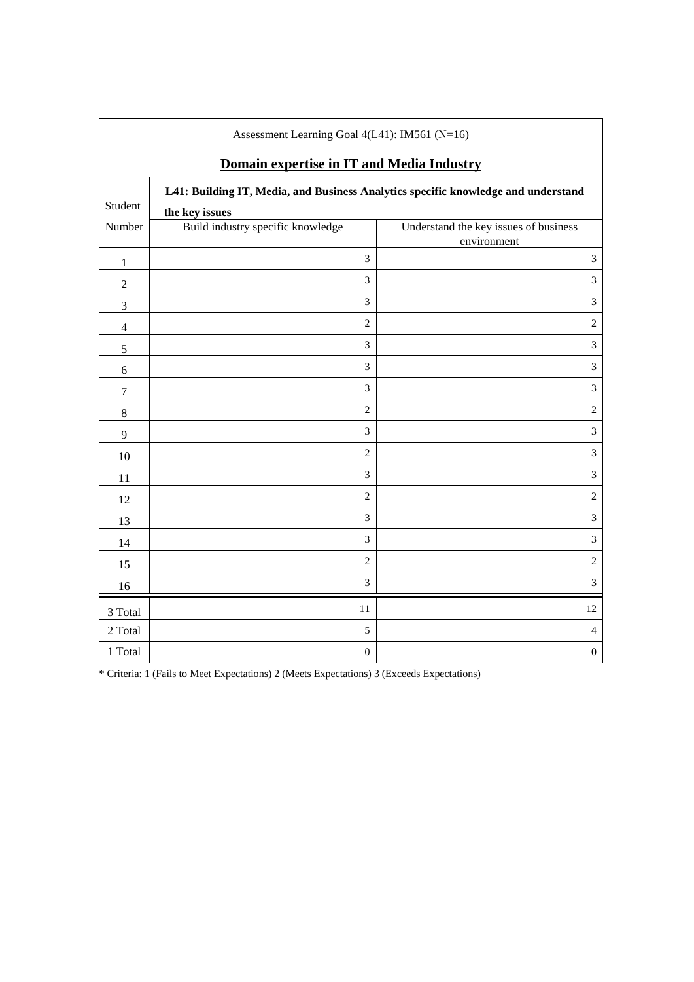| Assessment Learning Goal 4(L41): IM561 (N=16) |                                                                                                     |                                                      |  |  |  |  |
|-----------------------------------------------|-----------------------------------------------------------------------------------------------------|------------------------------------------------------|--|--|--|--|
| Domain expertise in IT and Media Industry     |                                                                                                     |                                                      |  |  |  |  |
| Student                                       | L41: Building IT, Media, and Business Analytics specific knowledge and understand<br>the key issues |                                                      |  |  |  |  |
| Number                                        | Build industry specific knowledge                                                                   | Understand the key issues of business<br>environment |  |  |  |  |
| 1                                             | 3                                                                                                   | $\mathfrak{Z}$                                       |  |  |  |  |
| $\overline{2}$                                | 3                                                                                                   | $\overline{3}$                                       |  |  |  |  |
| 3                                             | 3                                                                                                   | $\mathfrak{Z}$                                       |  |  |  |  |
| $\overline{4}$                                | $\overline{c}$                                                                                      | $\sqrt{2}$                                           |  |  |  |  |
| $\mathfrak s$                                 | 3                                                                                                   | $\ensuremath{\mathfrak{Z}}$                          |  |  |  |  |
| 6                                             | $\ensuremath{\mathfrak{Z}}$                                                                         | $\mathfrak{Z}$                                       |  |  |  |  |
| $\boldsymbol{7}$                              | 3                                                                                                   | $\mathfrak{Z}$                                       |  |  |  |  |
| $\,8\,$                                       | $\overline{c}$                                                                                      | $\overline{2}$                                       |  |  |  |  |
| $\overline{9}$                                | 3                                                                                                   | 3                                                    |  |  |  |  |
| 10                                            | $\overline{2}$                                                                                      | $\mathfrak{Z}$                                       |  |  |  |  |
| 11                                            | 3                                                                                                   | $\mathfrak{Z}$                                       |  |  |  |  |
| 12                                            | $\overline{c}$                                                                                      | $\overline{2}$                                       |  |  |  |  |
| 13                                            | 3                                                                                                   | 3                                                    |  |  |  |  |
| 14                                            | $\ensuremath{\mathfrak{Z}}$                                                                         | $\mathfrak{Z}$                                       |  |  |  |  |
| 15                                            | $\overline{c}$                                                                                      | $\overline{2}$                                       |  |  |  |  |
| 16                                            | 3                                                                                                   | $\mathfrak{Z}$                                       |  |  |  |  |
| 3 Total                                       | 11                                                                                                  | 12                                                   |  |  |  |  |
| 2 Total                                       | 5                                                                                                   | $\overline{4}$                                       |  |  |  |  |
| 1 Total                                       | $\boldsymbol{0}$                                                                                    | $\boldsymbol{0}$                                     |  |  |  |  |